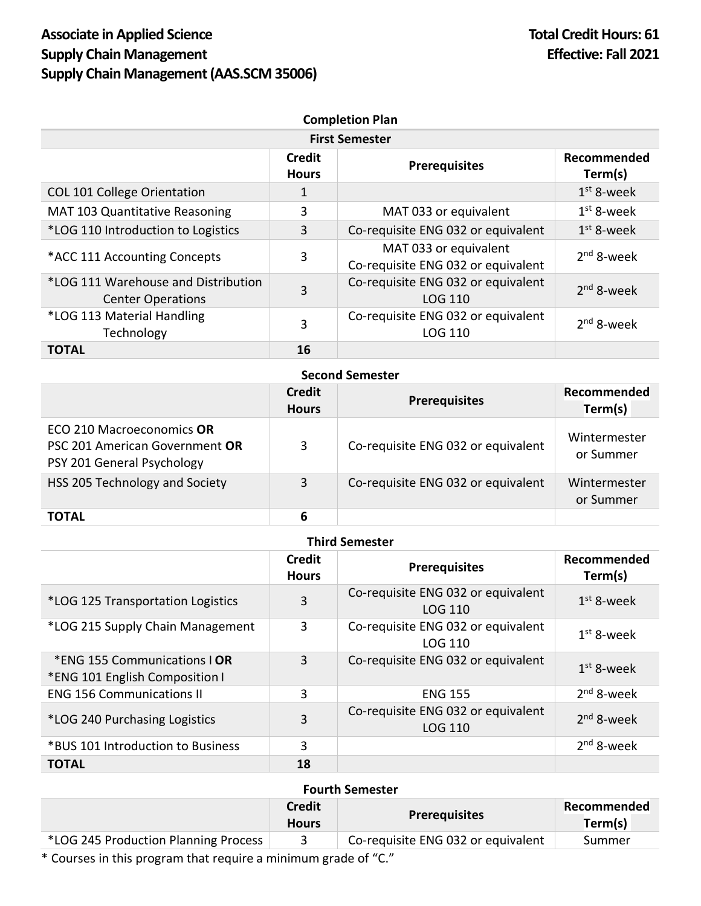| <b>Completion Plan</b>                                          |                               |                                                             |                        |
|-----------------------------------------------------------------|-------------------------------|-------------------------------------------------------------|------------------------|
| <b>First Semester</b>                                           |                               |                                                             |                        |
|                                                                 | <b>Credit</b><br><b>Hours</b> | <b>Prerequisites</b>                                        | Recommended<br>Term(s) |
| <b>COL 101 College Orientation</b>                              | 1                             |                                                             | $1st$ 8-week           |
| <b>MAT 103 Quantitative Reasoning</b>                           | 3                             | MAT 033 or equivalent                                       | $1st$ 8-week           |
| *LOG 110 Introduction to Logistics                              | 3                             | Co-requisite ENG 032 or equivalent                          | $1st$ 8-week           |
| *ACC 111 Accounting Concepts                                    | 3                             | MAT 033 or equivalent<br>Co-requisite ENG 032 or equivalent | $2nd$ 8-week           |
| *LOG 111 Warehouse and Distribution<br><b>Center Operations</b> | 3                             | Co-requisite ENG 032 or equivalent<br><b>LOG 110</b>        | $2nd$ 8-week           |
| *LOG 113 Material Handling<br>Technology                        | 3                             | Co-requisite ENG 032 or equivalent<br><b>LOG 110</b>        | $2nd$ 8-week           |
| <b>TOTAL</b>                                                    | 16                            |                                                             |                        |

## **Second Semester**

|                                                                                           | Credit<br><b>Hours</b> | <b>Prerequisites</b>               | Recommended<br>Term(s)    |
|-------------------------------------------------------------------------------------------|------------------------|------------------------------------|---------------------------|
| ECO 210 Macroeconomics OR<br>PSC 201 American Government OR<br>PSY 201 General Psychology | 3                      | Co-requisite ENG 032 or equivalent | Wintermester<br>or Summer |
| HSS 205 Technology and Society                                                            | 3                      | Co-requisite ENG 032 or equivalent | Wintermester<br>or Summer |
| <b>TOTAL</b>                                                                              | 6                      |                                    |                           |

## **Third Semester**

|                                                                | Credit<br><b>Hours</b> | <b>Prerequisites</b>                                 | Recommended<br>Term(s) |
|----------------------------------------------------------------|------------------------|------------------------------------------------------|------------------------|
| *LOG 125 Transportation Logistics                              | 3                      | Co-requisite ENG 032 or equivalent<br>LOG 110        | $1st$ 8-week           |
| *LOG 215 Supply Chain Management                               | 3                      | Co-requisite ENG 032 or equivalent<br><b>LOG 110</b> | $1st$ 8-week           |
| *ENG 155 Communications I OR<br>*ENG 101 English Composition I | 3                      | Co-requisite ENG 032 or equivalent                   | $1st$ 8-week           |
| <b>ENG 156 Communications II</b>                               | 3                      | <b>ENG 155</b>                                       | $2nd$ 8-week           |
| *LOG 240 Purchasing Logistics                                  | 3                      | Co-requisite ENG 032 or equivalent<br><b>LOG 110</b> | $2nd$ 8-week           |
| *BUS 101 Introduction to Business                              | 3                      |                                                      | $2nd$ 8-week           |
| <b>TOTAL</b>                                                   | 18                     |                                                      |                        |

## **Fourth Semester**

|                                      | <b>Credit</b><br><b>Hours</b> | <b>Prerequisites</b>               | Recommended<br>Term(s) |
|--------------------------------------|-------------------------------|------------------------------------|------------------------|
| *LOG 245 Production Planning Process |                               | Co-requisite ENG 032 or equivalent | Summer                 |

\* Courses in this program that require a minimum grade of "C."